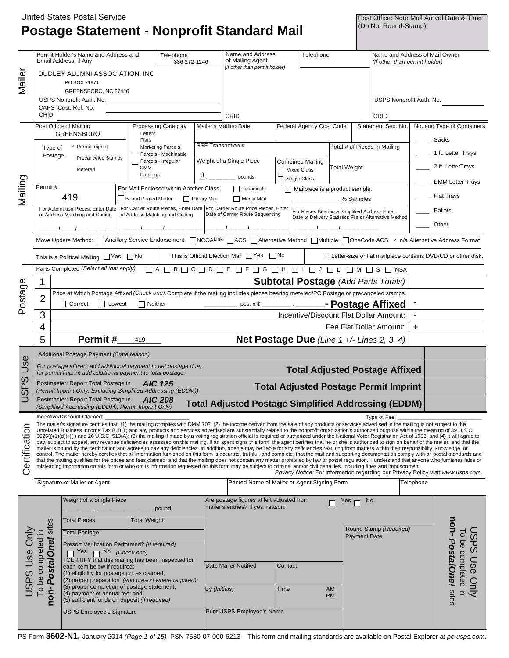# **Postage Statement - Nonprofit Standard Mail**

Post Office: Note Mail Arrival Date & Time<br>(Do Not Round-Stamp)

|                      |                                                                                      |                                                                                                                                                                                                                                                                                                                                                                                                               |                                                                                  |                                        |                       |                                                                                                                                                                                                                                                                                                                     |                          |                                               |           | Name and Address of Mail Owner |                                                                     |                            |                                                                                         |  |
|----------------------|--------------------------------------------------------------------------------------|---------------------------------------------------------------------------------------------------------------------------------------------------------------------------------------------------------------------------------------------------------------------------------------------------------------------------------------------------------------------------------------------------------------|----------------------------------------------------------------------------------|----------------------------------------|-----------------------|---------------------------------------------------------------------------------------------------------------------------------------------------------------------------------------------------------------------------------------------------------------------------------------------------------------------|--------------------------|-----------------------------------------------|-----------|--------------------------------|---------------------------------------------------------------------|----------------------------|-----------------------------------------------------------------------------------------|--|
|                      |                                                                                      | Permit Holder's Name and Address and<br>Email Address, if Any                                                                                                                                                                                                                                                                                                                                                 |                                                                                  | Telephone<br>336-272-1246              |                       | Name and Address<br>of Mailing Agent                                                                                                                                                                                                                                                                                |                          | Telephone                                     |           |                                | (If other than permit holder)                                       |                            |                                                                                         |  |
| Mailer               |                                                                                      | DUDLEY ALUMNI ASSOCIATION, INC.                                                                                                                                                                                                                                                                                                                                                                               |                                                                                  |                                        |                       | (If other than permit holder)                                                                                                                                                                                                                                                                                       |                          |                                               |           |                                |                                                                     |                            |                                                                                         |  |
|                      |                                                                                      | PO BOX 21971                                                                                                                                                                                                                                                                                                                                                                                                  |                                                                                  |                                        |                       |                                                                                                                                                                                                                                                                                                                     |                          |                                               |           |                                |                                                                     |                            |                                                                                         |  |
|                      |                                                                                      | GREENSBORO, NC 27420                                                                                                                                                                                                                                                                                                                                                                                          |                                                                                  |                                        |                       |                                                                                                                                                                                                                                                                                                                     |                          |                                               |           |                                |                                                                     |                            |                                                                                         |  |
|                      |                                                                                      | USPS Nonprofit Auth. No.                                                                                                                                                                                                                                                                                                                                                                                      |                                                                                  |                                        |                       |                                                                                                                                                                                                                                                                                                                     |                          |                                               |           |                                | USPS Nonprofit Auth. No.                                            |                            |                                                                                         |  |
|                      | CAPS Cust. Ref. No.                                                                  |                                                                                                                                                                                                                                                                                                                                                                                                               |                                                                                  |                                        |                       |                                                                                                                                                                                                                                                                                                                     |                          |                                               |           |                                |                                                                     |                            |                                                                                         |  |
|                      | CRID                                                                                 |                                                                                                                                                                                                                                                                                                                                                                                                               |                                                                                  |                                        |                       | CRID                                                                                                                                                                                                                                                                                                                |                          |                                               |           |                                | CRID                                                                |                            |                                                                                         |  |
|                      | Post Office of Mailing<br><b>Processing Category</b><br><b>GREENSBORO</b><br>Letters |                                                                                                                                                                                                                                                                                                                                                                                                               |                                                                                  |                                        | Mailer's Mailing Date |                                                                                                                                                                                                                                                                                                                     | Federal Agency Cost Code |                                               |           | Statement Seq. No.             |                                                                     | No. and Type of Containers |                                                                                         |  |
|                      |                                                                                      |                                                                                                                                                                                                                                                                                                                                                                                                               | Flats<br><b>Marketing Parcels</b><br>Parcels - Machinable<br>Parcels - Irregular |                                        |                       | SSF Transaction #                                                                                                                                                                                                                                                                                                   |                          | Total # of Pieces in Mailing                  |           |                                |                                                                     |                            | Sacks                                                                                   |  |
|                      | $\mathbf v$ Permit Imprint<br>Type of<br>Postage                                     |                                                                                                                                                                                                                                                                                                                                                                                                               |                                                                                  |                                        |                       |                                                                                                                                                                                                                                                                                                                     |                          |                                               |           |                                |                                                                     |                            | 1 ft. Letter Trays                                                                      |  |
|                      | <b>Precanceled Stamps</b>                                                            |                                                                                                                                                                                                                                                                                                                                                                                                               |                                                                                  |                                        |                       | Weight of a Single Piece                                                                                                                                                                                                                                                                                            | <b>Combined Mailing</b>  |                                               |           | <b>Total Weight</b>            |                                                                     |                            |                                                                                         |  |
|                      |                                                                                      | Metered                                                                                                                                                                                                                                                                                                                                                                                                       | <b>CMM</b><br>Catalogs                                                           |                                        |                       | $\overline{0}$ : $\overline{---}$ pounds                                                                                                                                                                                                                                                                            |                          | Mixed Class                                   |           |                                |                                                                     |                            | 2 ft. LetterTrays                                                                       |  |
|                      | Permit#                                                                              |                                                                                                                                                                                                                                                                                                                                                                                                               |                                                                                  |                                        |                       |                                                                                                                                                                                                                                                                                                                     |                          | $\Box$ Single Class                           |           |                                |                                                                     |                            | <b>EMM Letter Trays</b>                                                                 |  |
| Mailing              |                                                                                      | 419                                                                                                                                                                                                                                                                                                                                                                                                           |                                                                                  | For Mail Enclosed within Another Class |                       | Periodicals                                                                                                                                                                                                                                                                                                         |                          | Mailpiece is a product sample.                |           |                                |                                                                     |                            | <b>Flat Trays</b>                                                                       |  |
|                      |                                                                                      | For Automation Pieces, Enter Date   For Carrier Route Pieces, Enter Date   For Carrier Route Price Pieces, Enter                                                                                                                                                                                                                                                                                              | <b>Bound Printed Matter</b>                                                      |                                        | Library Mail          | Media Mail                                                                                                                                                                                                                                                                                                          |                          |                                               |           | % Samples                      |                                                                     |                            |                                                                                         |  |
|                      |                                                                                      | of Address Matching and Coding                                                                                                                                                                                                                                                                                                                                                                                |                                                                                  | of Address Matching and Coding         |                       | Date of Carrier Route Sequencing                                                                                                                                                                                                                                                                                    |                          | For Pieces Bearing a Simplified Address Enter |           |                                | Date of Delivery Statistics File or Alternative Method              |                            | Pallets                                                                                 |  |
|                      |                                                                                      |                                                                                                                                                                                                                                                                                                                                                                                                               |                                                                                  |                                        |                       |                                                                                                                                                                                                                                                                                                                     |                          |                                               |           |                                |                                                                     |                            | Other                                                                                   |  |
|                      |                                                                                      | Move Update Method: □ Ancillary Service Endorsement □ NCOALink □ ACS □ Alternative Method □ Multiple □ OneCode ACS $\checkmark$ n/a Alternative Address Format                                                                                                                                                                                                                                                |                                                                                  |                                        |                       |                                                                                                                                                                                                                                                                                                                     |                          |                                               |           |                                |                                                                     |                            |                                                                                         |  |
|                      |                                                                                      |                                                                                                                                                                                                                                                                                                                                                                                                               |                                                                                  |                                        |                       |                                                                                                                                                                                                                                                                                                                     |                          |                                               |           |                                |                                                                     |                            |                                                                                         |  |
|                      |                                                                                      | This is a Political Mailing $\Box$ Yes $\Box$ No                                                                                                                                                                                                                                                                                                                                                              |                                                                                  |                                        |                       | This is Official Election Mail Ves No                                                                                                                                                                                                                                                                               |                          |                                               |           |                                | $\Box$ Letter-size or flat mailpiece contains DVD/CD or other disk. |                            |                                                                                         |  |
|                      |                                                                                      | Parts Completed (Select all that apply)                                                                                                                                                                                                                                                                                                                                                                       |                                                                                  |                                        |                       | $\Box A \Box B \Box C \Box D \Box E \Box F \Box G \Box H \Box I \Box J \Box L \Box M \Box S \Box NSA$                                                                                                                                                                                                               |                          |                                               |           |                                |                                                                     |                            |                                                                                         |  |
|                      | 1                                                                                    |                                                                                                                                                                                                                                                                                                                                                                                                               |                                                                                  |                                        |                       |                                                                                                                                                                                                                                                                                                                     |                          |                                               |           |                                | <b>Subtotal Postage (Add Parts Totals)</b>                          |                            |                                                                                         |  |
|                      |                                                                                      | Price at Which Postage Affixed (Check one). Complete if the mailing includes pieces bearing metered/PC Postage or precanceled stamps.                                                                                                                                                                                                                                                                         |                                                                                  |                                        |                       |                                                                                                                                                                                                                                                                                                                     |                          |                                               |           |                                |                                                                     |                            |                                                                                         |  |
| Postage              | 2                                                                                    | <b>Lowest</b><br>Correct                                                                                                                                                                                                                                                                                                                                                                                      | $\Box$ Neither                                                                   |                                        |                       | $\frac{1}{2}$ $\frac{1}{2}$ $\frac{1}{2}$ $\frac{1}{2}$ $\frac{1}{2}$ $\frac{1}{2}$ $\frac{1}{2}$ $\frac{1}{2}$ $\frac{1}{2}$ $\frac{1}{2}$ $\frac{1}{2}$ $\frac{1}{2}$ $\frac{1}{2}$ $\frac{1}{2}$ $\frac{1}{2}$ $\frac{1}{2}$ $\frac{1}{2}$ $\frac{1}{2}$ $\frac{1}{2}$ $\frac{1}{2}$ $\frac{1}{2}$ $\frac{1}{2}$ |                          |                                               |           |                                |                                                                     |                            |                                                                                         |  |
|                      | 3                                                                                    |                                                                                                                                                                                                                                                                                                                                                                                                               |                                                                                  |                                        |                       |                                                                                                                                                                                                                                                                                                                     |                          |                                               |           |                                | Incentive/Discount Flat Dollar Amount:                              |                            |                                                                                         |  |
|                      | 4                                                                                    |                                                                                                                                                                                                                                                                                                                                                                                                               |                                                                                  |                                        |                       |                                                                                                                                                                                                                                                                                                                     |                          |                                               |           |                                | Fee Flat Dollar Amount:                                             | ÷.                         |                                                                                         |  |
|                      | 5                                                                                    | Permit#                                                                                                                                                                                                                                                                                                                                                                                                       | 419                                                                              |                                        |                       |                                                                                                                                                                                                                                                                                                                     |                          |                                               |           |                                |                                                                     |                            |                                                                                         |  |
|                      | Net Postage Due (Line 1 +/- Lines 2, 3, 4)                                           |                                                                                                                                                                                                                                                                                                                                                                                                               |                                                                                  |                                        |                       |                                                                                                                                                                                                                                                                                                                     |                          |                                               |           |                                |                                                                     |                            |                                                                                         |  |
|                      | Additional Postage Payment (State reason)                                            |                                                                                                                                                                                                                                                                                                                                                                                                               |                                                                                  |                                        |                       |                                                                                                                                                                                                                                                                                                                     |                          |                                               |           |                                |                                                                     |                            |                                                                                         |  |
| Use                  |                                                                                      | For postage affixed, add additional payment to net postage due;<br><b>Total Adjusted Postage Affixed</b><br>for permit imprint add additional payment to total postage.                                                                                                                                                                                                                                       |                                                                                  |                                        |                       |                                                                                                                                                                                                                                                                                                                     |                          |                                               |           |                                |                                                                     |                            |                                                                                         |  |
|                      |                                                                                      |                                                                                                                                                                                                                                                                                                                                                                                                               |                                                                                  |                                        |                       |                                                                                                                                                                                                                                                                                                                     |                          |                                               |           |                                |                                                                     |                            |                                                                                         |  |
| S                    |                                                                                      | Postmaster: Report Total Postage in                                                                                                                                                                                                                                                                                                                                                                           |                                                                                  | <b>AIC 125</b>                         |                       |                                                                                                                                                                                                                                                                                                                     |                          |                                               |           |                                |                                                                     |                            |                                                                                         |  |
| ௳<br>$\overline{S}$  |                                                                                      | (Permit Imprint Only, Excluding Simplified Addressing (EDDM))                                                                                                                                                                                                                                                                                                                                                 |                                                                                  |                                        |                       |                                                                                                                                                                                                                                                                                                                     |                          |                                               |           |                                | <b>Total Adjusted Postage Permit Imprint</b>                        |                            |                                                                                         |  |
| ⊃                    |                                                                                      | Postmaster: Report Total Postage in<br>(Simplified Addressing (EDDM), Permit Imprint Only)                                                                                                                                                                                                                                                                                                                    |                                                                                  | <b>AIC 208</b>                         |                       | <b>Total Adjusted Postage Simplified Addressing (EDDM)</b>                                                                                                                                                                                                                                                          |                          |                                               |           |                                |                                                                     |                            |                                                                                         |  |
|                      |                                                                                      | Incentive/Discount Claimed:                                                                                                                                                                                                                                                                                                                                                                                   |                                                                                  |                                        |                       |                                                                                                                                                                                                                                                                                                                     |                          |                                               |           |                                | Type of Fee:                                                        |                            |                                                                                         |  |
|                      |                                                                                      | The mailer's signature certifies that: (1) the mailing complies with DMM 703; (2) the income derived from the sale of any products or services advertised in the mailing is not subject to the<br>Unrelated Business Income Tax (UBIT) and any products and services advertised are substantially related to the nonprofit organization's authorized purpose within the meaning of 39 U.S.C.                  |                                                                                  |                                        |                       |                                                                                                                                                                                                                                                                                                                     |                          |                                               |           |                                |                                                                     |                            |                                                                                         |  |
|                      |                                                                                      | 3626(j)(1)(d)(ii)(l) and 26 U.S.C. 513(A); (3) the mailing if made by a voting registration official is required or authorized under the National Voter Registration Act of 1993; and (4) it will agree to                                                                                                                                                                                                    |                                                                                  |                                        |                       |                                                                                                                                                                                                                                                                                                                     |                          |                                               |           |                                |                                                                     |                            |                                                                                         |  |
|                      |                                                                                      | pay, subject to appeal, any revenue deficiencies assessed on this mailing. If an agent signs this form, the agent certifies that he or she is authorized to sign on behalf of the mailer, and that the<br>mailer is bound by the certification and agrees to pay any deficiencies. In addition, agents may be liable for any deficiencies resulting from matters within their responsibility, knowledge, or   |                                                                                  |                                        |                       |                                                                                                                                                                                                                                                                                                                     |                          |                                               |           |                                |                                                                     |                            |                                                                                         |  |
|                      |                                                                                      | control. The mailer hereby certifies that all information furnished on this form is accurate, truthful, and complete; that the mail and supporting documentation comply with all postal standards and<br>that the mailing qualifies for the prices and fees claimed; and that the mailing does not contain any matter prohibited by law or postal regulation. I understand that anyone who furnishes false or |                                                                                  |                                        |                       |                                                                                                                                                                                                                                                                                                                     |                          |                                               |           |                                |                                                                     |                            |                                                                                         |  |
| Certification        |                                                                                      | misleading information on this form or who omits information requested on this form may be subject to criminal and/or civil penalties, including fines and imprisonment.                                                                                                                                                                                                                                      |                                                                                  |                                        |                       |                                                                                                                                                                                                                                                                                                                     |                          |                                               |           |                                |                                                                     |                            | <i>Privacy Notice:</i> For information regarding our Privacy Policy visit www.usps.com. |  |
|                      |                                                                                      | Signature of Mailer or Agent                                                                                                                                                                                                                                                                                                                                                                                  |                                                                                  |                                        |                       | Printed Name of Mailer or Agent Signing Form                                                                                                                                                                                                                                                                        |                          |                                               |           |                                |                                                                     | Telephone                  |                                                                                         |  |
|                      |                                                                                      |                                                                                                                                                                                                                                                                                                                                                                                                               |                                                                                  |                                        |                       |                                                                                                                                                                                                                                                                                                                     |                          |                                               |           |                                |                                                                     |                            |                                                                                         |  |
|                      |                                                                                      | Weight of a Single Piece                                                                                                                                                                                                                                                                                                                                                                                      |                                                                                  |                                        |                       | Are postage figures at left adjusted from<br>mailer's entries? If yes, reason:                                                                                                                                                                                                                                      |                          |                                               | Yes       | No                             |                                                                     |                            |                                                                                         |  |
|                      |                                                                                      |                                                                                                                                                                                                                                                                                                                                                                                                               |                                                                                  | pound                                  |                       |                                                                                                                                                                                                                                                                                                                     |                          |                                               |           |                                |                                                                     |                            |                                                                                         |  |
|                      |                                                                                      | <b>Total Pieces</b>                                                                                                                                                                                                                                                                                                                                                                                           | <b>Total Weight</b>                                                              |                                        |                       |                                                                                                                                                                                                                                                                                                                     |                          |                                               |           |                                | Round Stamp (Required)                                              |                            |                                                                                         |  |
|                      |                                                                                      | <b>Total Postage</b>                                                                                                                                                                                                                                                                                                                                                                                          |                                                                                  |                                        |                       |                                                                                                                                                                                                                                                                                                                     |                          |                                               |           | <b>Payment Date</b>            |                                                                     |                            | $\overline{c}$                                                                          |  |
|                      |                                                                                      | Presort Verification Performed? (If required)<br>Yes                                                                                                                                                                                                                                                                                                                                                          |                                                                                  |                                        |                       |                                                                                                                                                                                                                                                                                                                     |                          |                                               |           |                                |                                                                     |                            |                                                                                         |  |
|                      |                                                                                      | No (Check one)<br>I CERTIFY that this mailing has been inspected for                                                                                                                                                                                                                                                                                                                                          |                                                                                  |                                        |                       |                                                                                                                                                                                                                                                                                                                     |                          |                                               |           |                                |                                                                     |                            |                                                                                         |  |
|                      |                                                                                      | each item below if required:                                                                                                                                                                                                                                                                                                                                                                                  |                                                                                  |                                        |                       | Date Mailer Notified                                                                                                                                                                                                                                                                                                | Contact                  |                                               |           |                                |                                                                     |                            |                                                                                         |  |
|                      |                                                                                      | (1) eligibility for postage prices claimed;<br>(2) proper preparation (and presort where required);                                                                                                                                                                                                                                                                                                           |                                                                                  |                                        |                       |                                                                                                                                                                                                                                                                                                                     |                          |                                               |           |                                |                                                                     |                            |                                                                                         |  |
| <b>JSPS Use Only</b> |                                                                                      | (3) proper completion of postage statement;<br>(4) payment of annual fee; and                                                                                                                                                                                                                                                                                                                                 |                                                                                  |                                        | By (Initials)         |                                                                                                                                                                                                                                                                                                                     | Time                     |                                               | <b>AM</b> |                                |                                                                     |                            | be completed in                                                                         |  |
|                      | non-PostalOne! sites<br>To be completed in                                           | (5) sufficient funds on deposit (if required)                                                                                                                                                                                                                                                                                                                                                                 |                                                                                  |                                        |                       |                                                                                                                                                                                                                                                                                                                     |                          |                                               | <b>PM</b> |                                |                                                                     |                            | non- PostalOne! sites<br><b>JSPS Use Only</b>                                           |  |
|                      |                                                                                      | <b>USPS Employee's Signature</b>                                                                                                                                                                                                                                                                                                                                                                              |                                                                                  |                                        |                       | Print USPS Employee's Name                                                                                                                                                                                                                                                                                          |                          |                                               |           |                                |                                                                     |                            |                                                                                         |  |

PS Form **3602-N1,** January 2014 *(Page 1 of 15)* PSN 7530-07-000-6213 This form and mailing standards are available on Postal Explorer at *pe.usps.com.*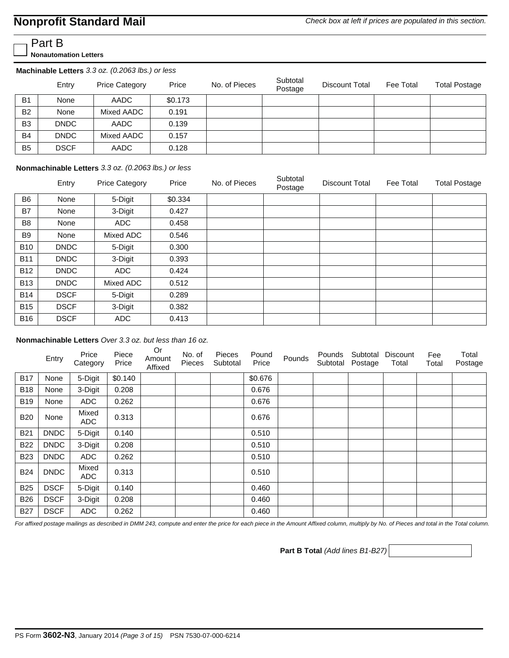## **Nonprofit Standard Mail**

Part B

**Nonautomation Letters**

| Machinable Letters 3.3 oz. (0.2063 lbs.) or less |             |                       |         |               |                     |                       |           |                      |  |  |
|--------------------------------------------------|-------------|-----------------------|---------|---------------|---------------------|-----------------------|-----------|----------------------|--|--|
|                                                  | Entry       | <b>Price Category</b> | Price   | No. of Pieces | Subtotal<br>Postage | <b>Discount Total</b> | Fee Total | <b>Total Postage</b> |  |  |
| <b>B1</b>                                        | None        | AADC                  | \$0.173 |               |                     |                       |           |                      |  |  |
| <b>B2</b>                                        | None        | Mixed AADC            | 0.191   |               |                     |                       |           |                      |  |  |
| B <sub>3</sub>                                   | <b>DNDC</b> | AADC                  | 0.139   |               |                     |                       |           |                      |  |  |
| <b>B4</b>                                        | <b>DNDC</b> | Mixed AADC            | 0.157   |               |                     |                       |           |                      |  |  |
| <b>B5</b>                                        | <b>DSCF</b> | AADC                  | 0.128   |               |                     |                       |           |                      |  |  |

#### **Nonmachinable Letters** *3.3 oz. (0.2063 lbs.) or less*

|                | Entry       | <b>Price Category</b> | Price   | No. of Pieces | Subtotal<br>Postage | Discount Total | Fee Total | <b>Total Postage</b> |
|----------------|-------------|-----------------------|---------|---------------|---------------------|----------------|-----------|----------------------|
| B <sub>6</sub> | None        | 5-Digit               | \$0.334 |               |                     |                |           |                      |
| <b>B7</b>      | None        | 3-Digit               | 0.427   |               |                     |                |           |                      |
| B <sub>8</sub> | None        | <b>ADC</b>            | 0.458   |               |                     |                |           |                      |
| <b>B</b> 9     | None        | Mixed ADC             | 0.546   |               |                     |                |           |                      |
| <b>B10</b>     | <b>DNDC</b> | 5-Digit               | 0.300   |               |                     |                |           |                      |
| <b>B11</b>     | <b>DNDC</b> | 3-Digit               | 0.393   |               |                     |                |           |                      |
| <b>B12</b>     | <b>DNDC</b> | ADC                   | 0.424   |               |                     |                |           |                      |
| <b>B13</b>     | <b>DNDC</b> | Mixed ADC             | 0.512   |               |                     |                |           |                      |
| <b>B14</b>     | <b>DSCF</b> | 5-Digit               | 0.289   |               |                     |                |           |                      |
| <b>B15</b>     | <b>DSCF</b> | 3-Digit               | 0.382   |               |                     |                |           |                      |
| <b>B16</b>     | <b>DSCF</b> | <b>ADC</b>            | 0.413   |               |                     |                |           |                      |

**Nonmachinable Letters** *Over 3.3 oz. but less than 16 oz.* 

|            | Entry       | Price<br>Category | Piece<br>Price | Or<br>Amount<br>Affixed | No. of<br>Pieces | Pieces<br>Subtotal | Pound<br>Price | Pounds | Pounds<br>Subtotal | Subtotal<br>Postage | <b>Discount</b><br>Total | Fee<br>Total | Total<br>Postage |
|------------|-------------|-------------------|----------------|-------------------------|------------------|--------------------|----------------|--------|--------------------|---------------------|--------------------------|--------------|------------------|
| <b>B17</b> | None        | 5-Digit           | \$0.140        |                         |                  |                    | \$0.676        |        |                    |                     |                          |              |                  |
| <b>B18</b> | None        | 3-Digit           | 0.208          |                         |                  |                    | 0.676          |        |                    |                     |                          |              |                  |
| <b>B19</b> | None        | <b>ADC</b>        | 0.262          |                         |                  |                    | 0.676          |        |                    |                     |                          |              |                  |
| <b>B20</b> | None        | Mixed<br>ADC      | 0.313          |                         |                  |                    | 0.676          |        |                    |                     |                          |              |                  |
| <b>B21</b> | <b>DNDC</b> | 5-Digit           | 0.140          |                         |                  |                    | 0.510          |        |                    |                     |                          |              |                  |
| <b>B22</b> | <b>DNDC</b> | 3-Digit           | 0.208          |                         |                  |                    | 0.510          |        |                    |                     |                          |              |                  |
| <b>B23</b> | <b>DNDC</b> | <b>ADC</b>        | 0.262          |                         |                  |                    | 0.510          |        |                    |                     |                          |              |                  |
| <b>B24</b> | <b>DNDC</b> | Mixed<br>ADC      | 0.313          |                         |                  |                    | 0.510          |        |                    |                     |                          |              |                  |
| <b>B25</b> | <b>DSCF</b> | 5-Digit           | 0.140          |                         |                  |                    | 0.460          |        |                    |                     |                          |              |                  |
| <b>B26</b> | <b>DSCF</b> | 3-Digit           | 0.208          |                         |                  |                    | 0.460          |        |                    |                     |                          |              |                  |
| <b>B27</b> | <b>DSCF</b> | <b>ADC</b>        | 0.262          |                         |                  |                    | 0.460          |        |                    |                     |                          |              |                  |

*For affixed postage mailings as described in DMM 243, compute and enter the price for each piece in the Amount Affixed column, multiply by No. of Pieces and total in the Total column.*

**Part B Total** *(Add lines B1-B27)*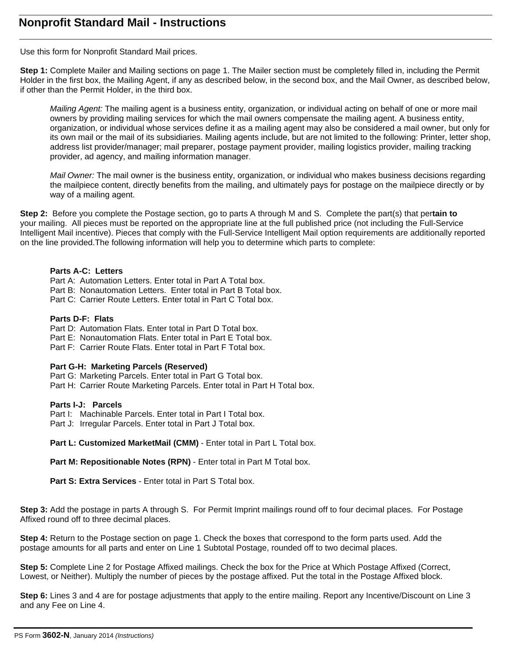Use this form for Nonprofit Standard Mail prices.

**Step 1:** Complete Mailer and Mailing sections on page 1. The Mailer section must be completely filled in, including the Permit Holder in the first box, the Mailing Agent, if any as described below, in the second box, and the Mail Owner, as described below, if other than the Permit Holder, in the third box.

*Mailing Agent:* The mailing agent is a business entity, organization, or individual acting on behalf of one or more mail owners by providing mailing services for which the mail owners compensate the mailing agent. A business entity, organization, or individual whose services define it as a mailing agent may also be considered a mail owner, but only for its own mail or the mail of its subsidiaries. Mailing agents include, but are not limited to the following: Printer, letter shop, address list provider/manager; mail preparer, postage payment provider, mailing logistics provider, mailing tracking provider, ad agency, and mailing information manager.

*Mail Owner:* The mail owner is the business entity, organization, or individual who makes business decisions regarding the mailpiece content, directly benefits from the mailing, and ultimately pays for postage on the mailpiece directly or by way of a mailing agent.

**Step 2:** Before you complete the Postage section, go to parts A through M and S. Complete the part(s) that per**tain to**  your mailing. All pieces must be reported on the appropriate line at the full published price (not including the Full-Service Intelligent Mail incentive). Pieces that comply with the Full-Service Intelligent Mail option requirements are additionally reported on the line provided.The following information will help you to determine which parts to complete:

#### **Parts A-C: Letters**

- Part A: Automation Letters. Enter total in Part A Total box.
- Part B: Nonautomation Letters. Enter total in Part B Total box.
- Part C: Carrier Route Letters. Enter total in Part C Total box.

#### **Parts D-F: Flats**

Part D: Automation Flats. Enter total in Part D Total box.

- Part E: Nonautomation Flats. Enter total in Part E Total box.
- Part F: Carrier Route Flats. Enter total in Part F Total box.

#### **Part G-H: Marketing Parcels (Reserved)**

Part G: Marketing Parcels. Enter total in Part G Total box.

Part H: Carrier Route Marketing Parcels. Enter total in Part H Total box.

#### **Parts I-J: Parcels**

Part I: Machinable Parcels. Enter total in Part I Total box.

Part J: Irregular Parcels. Enter total in Part J Total box.

Part L: Customized MarketMail (CMM) - Enter total in Part L Total box.

Part M: Repositionable Notes (RPN) - Enter total in Part M Total box.

**Part S: Extra Services** - Enter total in Part S Total box.

**Step 3:** Add the postage in parts A through S. For Permit Imprint mailings round off to four decimal places. For Postage Affixed round off to three decimal places.

**Step 4:** Return to the Postage section on page 1. Check the boxes that correspond to the form parts used. Add the postage amounts for all parts and enter on Line 1 Subtotal Postage, rounded off to two decimal places.

**Step 5:** Complete Line 2 for Postage Affixed mailings. Check the box for the Price at Which Postage Affixed (Correct, Lowest, or Neither). Multiply the number of pieces by the postage affixed. Put the total in the Postage Affixed block.

**Step 6:** Lines 3 and 4 are for postage adjustments that apply to the entire mailing. Report any Incentive/Discount on Line 3 and any Fee on Line 4.